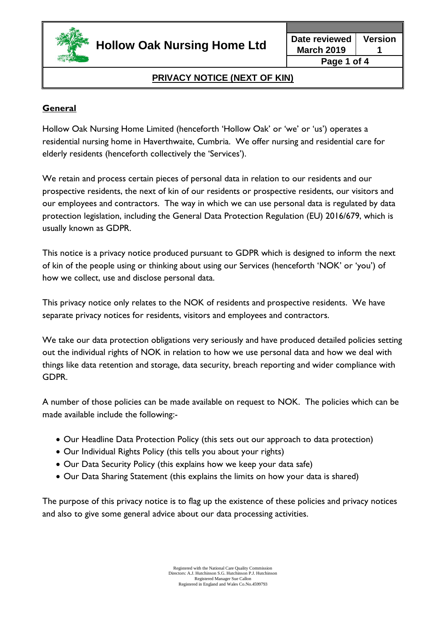

**March 2019 Version 1 Page 1 of 4**

# **PRIVACY NOTICE (NEXT OF KIN)**

# **General**

Hollow Oak Nursing Home Limited (henceforth 'Hollow Oak' or 'we' or 'us') operates a residential nursing home in Haverthwaite, Cumbria. We offer nursing and residential care for elderly residents (henceforth collectively the 'Services').

We retain and process certain pieces of personal data in relation to our residents and our prospective residents, the next of kin of our residents or prospective residents, our visitors and our employees and contractors. The way in which we can use personal data is regulated by data protection legislation, including the General Data Protection Regulation (EU) 2016/679, which is usually known as GDPR.

This notice is a privacy notice produced pursuant to GDPR which is designed to inform the next of kin of the people using or thinking about using our Services (henceforth 'NOK' or 'you') of how we collect, use and disclose personal data.

This privacy notice only relates to the NOK of residents and prospective residents. We have separate privacy notices for residents, visitors and employees and contractors.

We take our data protection obligations very seriously and have produced detailed policies setting out the individual rights of NOK in relation to how we use personal data and how we deal with things like data retention and storage, data security, breach reporting and wider compliance with GDPR.

A number of those policies can be made available on request to NOK. The policies which can be made available include the following:-

- Our Headline Data Protection Policy (this sets out our approach to data protection)
- Our Individual Rights Policy (this tells you about your rights)
- Our Data Security Policy (this explains how we keep your data safe)
- Our Data Sharing Statement (this explains the limits on how your data is shared)

The purpose of this privacy notice is to flag up the existence of these policies and privacy notices and also to give some general advice about our data processing activities.

> Registered with the National Care Quality Commission Directors: A.J. Hutchinson S.G. Hutchinson P.J. Hutchinson Registered Manager Sue Callon Registered in England and Wales Co.No.4599793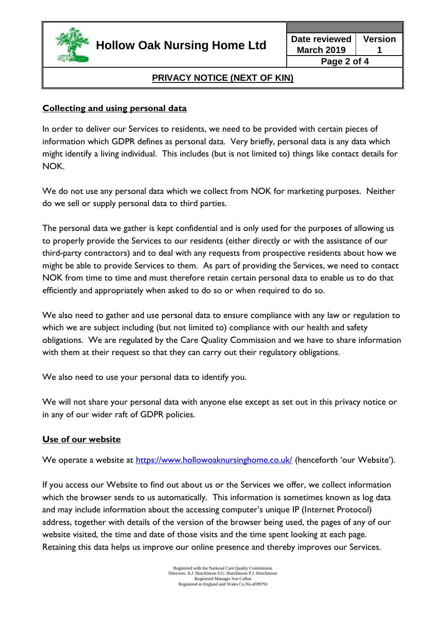

# **PRIVACY NOTICE (NEXT OF KIN)**

## **Collecting and using personal data**

In order to deliver our Services to residents, we need to be provided with certain pieces of information which GDPR defines as personal data. Very briefly, personal data is any data which might identify a living individual. This includes (but is not limited to) things like contact details for NOK.

We do not use any personal data which we collect from NOK for marketing purposes. Neither do we sell or supply personal data to third parties.

The personal data we gather is kept confidential and is only used for the purposes of allowing us to properly provide the Services to our residents (either directly or with the assistance of our third-party contractors) and to deal with any requests from prospective residents about how we might be able to provide Services to them. As part of providing the Services, we need to contact NOK from time to time and must therefore retain certain personal data to enable us to do that efficiently and appropriately when asked to do so or when required to do so.

We also need to gather and use personal data to ensure compliance with any law or regulation to which we are subject including (but not limited to) compliance with our health and safety obligations. We are regulated by the Care Quality Commission and we have to share information with them at their request so that they can carry out their regulatory obligations.

We also need to use your personal data to identify you.

We will not share your personal data with anyone else except as set out in this privacy notice or in any of our wider raft of GDPR policies.

### **Use of our website**

We operate a website at<https://www.hollowoaknursinghome.co.uk/> (henceforth 'our Website').

If you access our Website to find out about us or the Services we offer, we collect information which the browser sends to us automatically. This information is sometimes known as log data and may include information about the accessing computer's unique IP (Internet Protocol) address, together with details of the version of the browser being used, the pages of any of our website visited, the time and date of those visits and the time spent looking at each page. Retaining this data helps us improve our online presence and thereby improves our Services.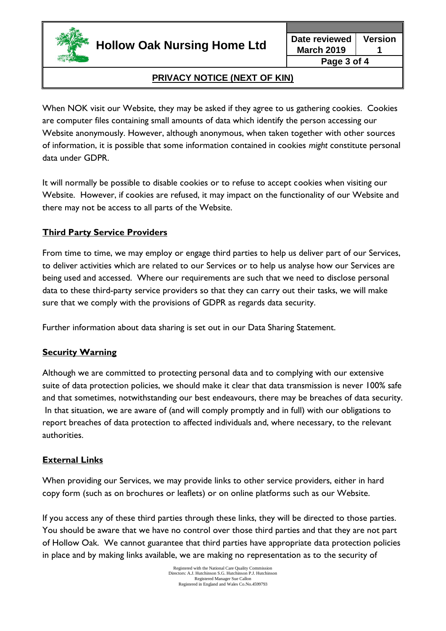

**Hollow Oak Nursing Home Ltd Date reviewed**

**March 2019 Version 1**

#### **Page 3 of 4**

# **PRIVACY NOTICE (NEXT OF KIN)**

When NOK visit our Website, they may be asked if they agree to us gathering cookies. Cookies are computer files containing small amounts of data which identify the person accessing our Website anonymously. However, although anonymous, when taken together with other sources of information, it is possible that some information contained in cookies *might* constitute personal data under GDPR.

It will normally be possible to disable cookies or to refuse to accept cookies when visiting our Website. However, if cookies are refused, it may impact on the functionality of our Website and there may not be access to all parts of the Website.

## **Third Party Service Providers**

From time to time, we may employ or engage third parties to help us deliver part of our Services, to deliver activities which are related to our Services or to help us analyse how our Services are being used and accessed. Where our requirements are such that we need to disclose personal data to these third-party service providers so that they can carry out their tasks, we will make sure that we comply with the provisions of GDPR as regards data security.

Further information about data sharing is set out in our Data Sharing Statement.

### **Security Warning**

Although we are committed to protecting personal data and to complying with our extensive suite of data protection policies, we should make it clear that data transmission is never 100% safe and that sometimes, notwithstanding our best endeavours, there may be breaches of data security. In that situation, we are aware of (and will comply promptly and in full) with our obligations to report breaches of data protection to affected individuals and, where necessary, to the relevant authorities.

### **External Links**

When providing our Services, we may provide links to other service providers, either in hard copy form (such as on brochures or leaflets) or on online platforms such as our Website.

If you access any of these third parties through these links, they will be directed to those parties. You should be aware that we have no control over those third parties and that they are not part of Hollow Oak. We cannot guarantee that third parties have appropriate data protection policies in place and by making links available, we are making no representation as to the security of

> Registered with the National Care Quality Commission Directors: A.J. Hutchinson S.G. Hutchinson P.J. Hutchinson Registered Manager Sue Callon Registered in England and Wales Co.No.4599793